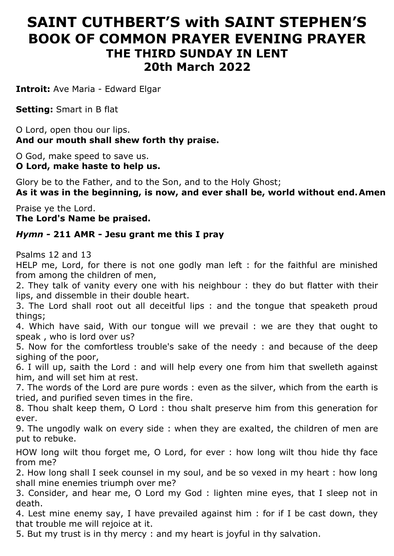# **SAINT CUTHBERT'S with SAINT STEPHEN'S BOOK OF COMMON PRAYER EVENING PRAYER THE THIRD SUNDAY IN LENT 20th March 2022**

**Introit:** Ave Maria - Edward Elgar

**Setting:** Smart in B flat

O Lord, open thou our lips. **And our mouth shall shew forth thy praise.**

O God, make speed to save us. **O Lord, make haste to help us.**

Glory be to the Father, and to the Son, and to the Holy Ghost;

**As it was in the beginning, is now, and ever shall be, world without end.Amen**

Praise ye the Lord. **The Lord's Name be praised.**

## *Hymn -* **211 AMR - Jesu grant me this I pray**

Psalms 12 and 13

HELP me, Lord, for there is not one godly man left : for the faithful are minished from among the children of men,

2. They talk of vanity every one with his neighbour : they do but flatter with their lips, and dissemble in their double heart.

3. The Lord shall root out all deceitful lips : and the tongue that speaketh proud things;

4. Which have said, With our tongue will we prevail : we are they that ought to speak , who is lord over us?

5. Now for the comfortless trouble's sake of the needy : and because of the deep sighing of the poor,

6. I will up, saith the Lord : and will help every one from him that swelleth against him, and will set him at rest.

7. The words of the Lord are pure words : even as the silver, which from the earth is tried, and purified seven times in the fire.

8. Thou shalt keep them, O Lord : thou shalt preserve him from this generation for ever.

9. The ungodly walk on every side : when they are exalted, the children of men are put to rebuke.

HOW long wilt thou forget me, O Lord, for ever : how long wilt thou hide thy face from me?

2. How long shall I seek counsel in my soul, and be so vexed in my heart : how long shall mine enemies triumph over me?

3. Consider, and hear me, O Lord my God : lighten mine eyes, that I sleep not in death.

4. Lest mine enemy say, I have prevailed against him : for if I be cast down, they that trouble me will rejoice at it.

5. But my trust is in thy mercy : and my heart is joyful in thy salvation.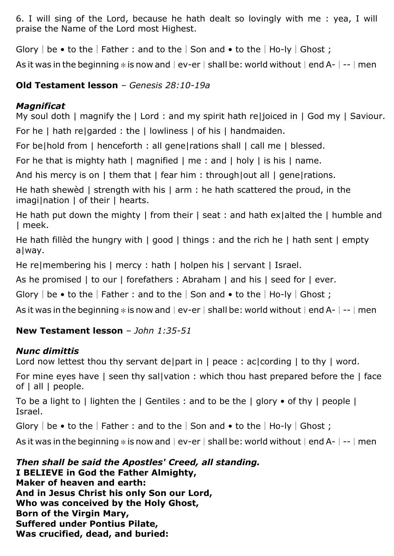6. I will sing of the Lord, because he hath dealt so lovingly with me : yea, I will praise the Name of the Lord most Highest.

Glory | be • to the | Father : and to the | Son and • to the | Ho-ly | Ghost ;

As it was in the beginning  $*$  is now and  $|e$ v-er  $|$  shall be: world without  $|end A-|$ - $|$  men

# **Old Testament lesson** *– Genesis 28:10-19a*

# *Magnificat*

My soul doth I magnify the I Lord : and my spirit hath relioiced in I God my I Saviour. For he I hath relgarded : the I lowliness I of his I handmaiden.

For be|hold from | henceforth : all gene|rations shall | call me | blessed.

For he that is mighty hath I magnified I me : and I holy I is his I name.

And his mercy is on | them that | fear him : through|out all | gene|rations.

He hath shewèd | strength with his | arm : he hath scattered the proud, in the imagi|nation | of their | hearts.

He hath put down the mighty I from their I seat : and hath exialted the I humble and | meek.

He hath fillèd the hungry with | good | things : and the rich he | hath sent | empty a|way.

He re|membering his | mercy : hath | holpen his | servant | Israel.

As he promised | to our | forefathers : Abraham | and his | seed for | ever.

Glory | be • to the | Father : and to the | Son and • to the | Ho-ly | Ghost ;

As it was in the beginning  $*$  is now and  $|e$ v-er  $|$  shall be: world without  $|end A-|$ - $|$  men

# **New Testament lesson** *– John 1:35-51*

## *Nunc dimittis*

Lord now lettest thou thy servant de|part in | peace: ac|cording | to thy | word.

For mine eyes have | seen thy sal|vation : which thou hast prepared before the | face of | all | people.

To be a light to | lighten the  $\vert$  Gentiles : and to be the  $\vert$  glory  $\bullet$  of thy  $\vert$  people  $\vert$ Israel.

Glory | be • to the | Father : and to the | Son and • to the | Ho-ly | Ghost ;

As it was in the beginning  $*$  is now and  $|e$ v-er  $|$  shall be: world without  $|e$ nd A- $|$ - $|$ men

*Then shall be said the Apostles' Creed, all standing.* **I BELIEVE in God the Father Almighty, Maker of heaven and earth: And in Jesus Christ his only Son our Lord, Who was conceived by the Holy Ghost, Born of the Virgin Mary, Suffered under Pontius Pilate, Was crucified, dead, and buried:**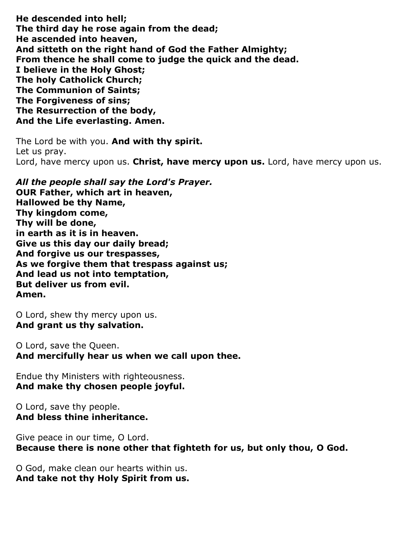**He descended into hell; The third day he rose again from the dead; He ascended into heaven, And sitteth on the right hand of God the Father Almighty; From thence he shall come to judge the quick and the dead. I believe in the Holy Ghost; The holy Catholick Church; The Communion of Saints; The Forgiveness of sins; The Resurrection of the body, And the Life everlasting. Amen.**

The Lord be with you. **And with thy spirit.** Let us pray. Lord, have mercy upon us. **Christ, have mercy upon us.** Lord, have mercy upon us.

*All the people shall say the Lord's Prayer.* **OUR Father, which art in heaven, Hallowed be thy Name, Thy kingdom come, Thy will be done, in earth as it is in heaven. Give us this day our daily bread; And forgive us our trespasses, As we forgive them that trespass against us; And lead us not into temptation, But deliver us from evil. Amen.**

O Lord, shew thy mercy upon us. **And grant us thy salvation.**

O Lord, save the Queen. **And mercifully hear us when we call upon thee.**

Endue thy Ministers with righteousness. **And make thy chosen people joyful.**

O Lord, save thy people. **And bless thine inheritance.**

Give peace in our time, O Lord. **Because there is none other that fighteth for us, but only thou, O God.**

O God, make clean our hearts within us. **And take not thy Holy Spirit from us.**